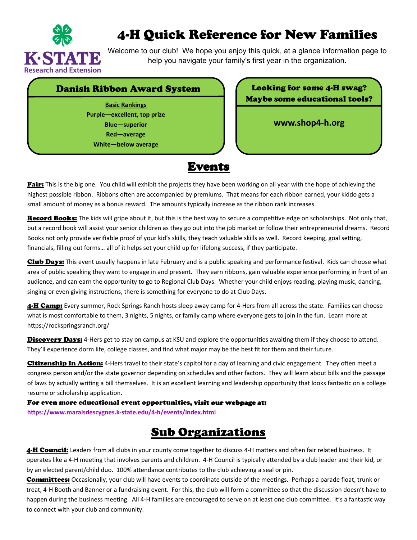

## 4-H Quick Reference for New Families

Welcome to our club! We hope you enjoy this quick, at a glance information page to help you navigate your family's first year in the organization.

## Danish Ribbon Award System (Looking for some 4-H swag?)

**Basic Rankings Purple—excellent, top prize Blue—superior Red—average White—below average**





Fair: This is the big one. You child will exhibit the projects they have been working on all year with the hope of achieving the highest possible ribbon. Ribbons often are accompanied by premiums. That means for each ribbon earned, your kiddo gets a small amount of money as a bonus reward. The amounts typically increase as the ribbon rank increases.

Record Books: The kids will gripe about it, but this is the best way to secure a competitive edge on scholarships. Not only that, but a record book will assist your senior children as they go out into the job market or follow their entrepreneurial dreams. Record Books not only provide verifiable proof of your kid's skills, they teach valuable skills as well. Record keeping, goal setting, financials, filling out forms... all of it helps set your child up for lifelong success, if they participate.

Club Days: This event usually happens in late February and is a public speaking and performance festival. Kids can choose what area of public speaking they want to engage in and present. They earn ribbons, gain valuable experience performing in front of an audience, and can earn the opportunity to go to Regional Club Days. Whether your child enjoys reading, playing music, dancing, singing or even giving instructions, there is something for everyone to do at Club Days.

4-H Camp: Every summer, Rock Springs Ranch hosts sleep away camp for 4-Hers from all across the state. Families can choose what is most comfortable to them, 3 nights, 5 nights, or family camp where everyone gets to join in the fun. Learn more at https://rockspringsranch.org/

Discovery Days: 4-Hers get to stay on campus at KSU and explore the opportunities awaiting them if they choose to attend. They'll experience dorm life, college classes, and find what major may be the best fit for them and their future.

Citizenship In Action: 4-Hers travel to their state's capitol for a day of learning and civic engagement. They often meet a congress person and/or the state governor depending on schedules and other factors. They will learn about bills and the passage of laws by actually writing a bill themselves. It is an excellent learning and leadership opportunity that looks fantastic on a college resume or scholarship application.

For even more educational event opportunities, visit our webpage at: **hƩps://www.maraisdescygnes.k‐state.edu/4‐h/events/index.html**

## Sub Organizations

4-H Council: Leaders from all clubs in your county come together to discuss 4-H matters and often fair related business. It operates like a 4-H meeting that involves parents and children. 4-H Council is typically attended by a club leader and their kid, or by an elected parent/child duo. 100% attendance contributes to the club achieving a seal or pin.

Committees: Occasionally, your club will have events to coordinate outside of the meetings. Perhaps a parade float, trunk or treat, 4-H Booth and Banner or a fundraising event. For this, the club will form a committee so that the discussion doesn't have to happen during the business meeting. All 4-H families are encouraged to serve on at least one club committee. It's a fantastic way to connect with your club and community.